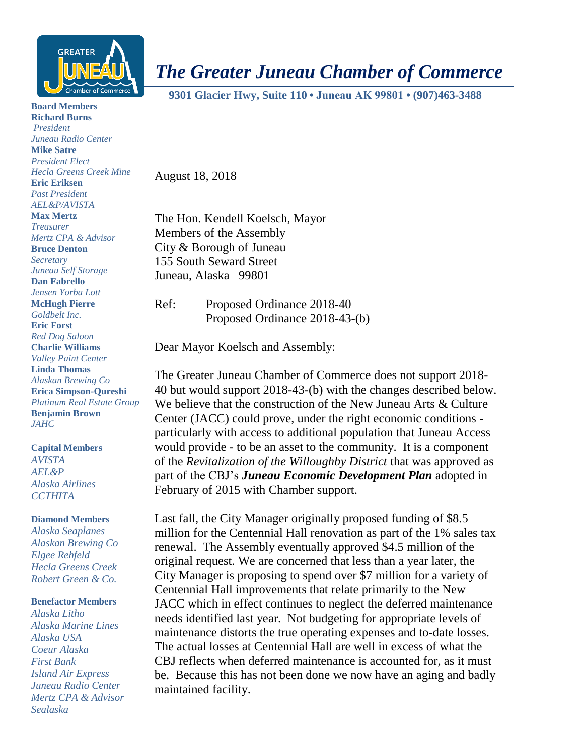

*The Greater Juneau Chamber of Commerce*

 **9301 Glacier Hwy, Suite 110 • Juneau AK 99801 • (907)463-3488** 

**Board Members Richard Burns** *President Juneau Radio Center* **Mike Satre** *President Elect Hecla Greens Creek Mine* **Eric Eriksen** *Past President AEL&P/AVISTA* **Max Mertz** *Treasurer Mertz CPA & Advisor* **Bruce Denton** *Secretary Juneau Self Storage* **Dan Fabrello** *Jensen Yorba Lott* **McHugh Pierre** *Goldbelt Inc.* **Eric Forst** *Red Dog Saloon* **Charlie Williams** *Valley Paint Center* **Linda Thomas** *Alaskan Brewing Co* **Erica Simpson-Qureshi** *Platinum Real Estate Group* **Benjamin Brown** *JAHC*

**Capital Members** *AVISTA AEL&P Alaska Airlines CCTHITA*

## **Diamond Members**

*Alaska Seaplanes Alaskan Brewing Co Elgee Rehfeld Hecla Greens Creek Robert Green & Co.*

## **Benefactor Members**

*Alaska Litho Alaska Marine Lines Alaska USA Coeur Alaska First Bank Island Air Express Juneau Radio Center Mertz CPA & Advisor Sealaska*

August 18, 2018

The Hon. Kendell Koelsch, Mayor Members of the Assembly City & Borough of Juneau 155 South Seward Street Juneau, Alaska 99801

Ref: Proposed Ordinance 2018-40 Proposed Ordinance 2018-43-(b)

Dear Mayor Koelsch and Assembly:

The Greater Juneau Chamber of Commerce does not support 2018- 40 but would support 2018-43-(b) with the changes described below. We believe that the construction of the New Juneau Arts & Culture Center (JACC) could prove, under the right economic conditions particularly with access to additional population that Juneau Access would provide - to be an asset to the community. It is a component of the *Revitalization of the Willoughby District* that was approved as part of the CBJ's *Juneau Economic Development Plan* adopted in February of 2015 with Chamber support.

Last fall, the City Manager originally proposed funding of \$8.5 million for the Centennial Hall renovation as part of the 1% sales tax renewal. The Assembly eventually approved \$4.5 million of the original request. We are concerned that less than a year later, the City Manager is proposing to spend over \$7 million for a variety of Centennial Hall improvements that relate primarily to the New JACC which in effect continues to neglect the deferred maintenance needs identified last year. Not budgeting for appropriate levels of maintenance distorts the true operating expenses and to-date losses. The actual losses at Centennial Hall are well in excess of what the CBJ reflects when deferred maintenance is accounted for, as it must be. Because this has not been done we now have an aging and badly maintained facility.